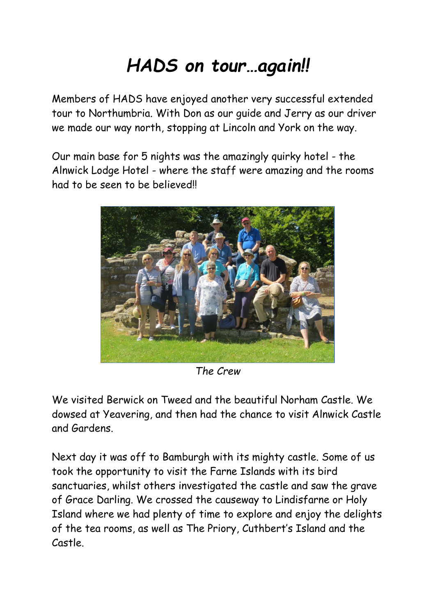## *HADS on tour…again!!*

Members of HADS have enjoyed another very successful extended tour to Northumbria. With Don as our guide and Jerry as our driver we made our way north, stopping at Lincoln and York on the way.

Our main base for 5 nights was the amazingly quirky hotel - the Alnwick Lodge Hotel - where the staff were amazing and the rooms had to be seen to be believed!



*The Crew*

We visited Berwick on Tweed and the beautiful Norham Castle. We dowsed at Yeavering, and then had the chance to visit Alnwick Castle and Gardens.

Next day it was off to Bamburgh with its mighty castle. Some of us took the opportunity to visit the Farne Islands with its bird sanctuaries, whilst others investigated the castle and saw the grave of Grace Darling. We crossed the causeway to Lindisfarne or Holy Island where we had plenty of time to explore and enjoy the delights of the tea rooms, as well as The Priory, Cuthbert's Island and the Castle.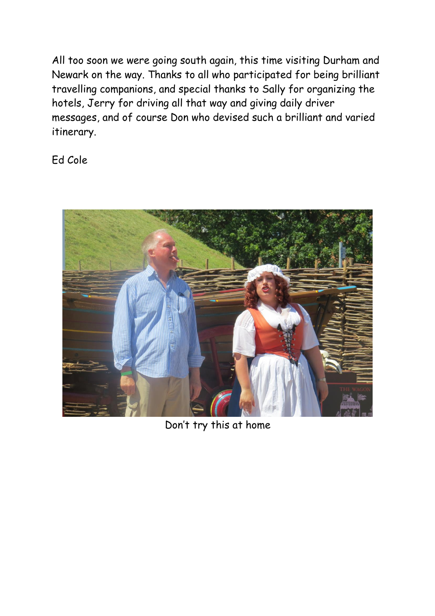All too soon we were going south again, this time visiting Durham and Newark on the way. Thanks to all who participated for being brilliant travelling companions, and special thanks to Sally for organizing the hotels, Jerry for driving all that way and giving daily driver messages, and of course Don who devised such a brilliant and varied itinerary.

Ed Cole



Don't try this at home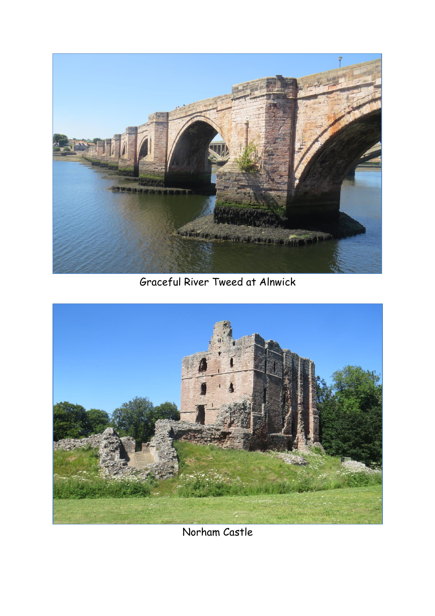

Graceful River Tweed at Alnwick



Norham Castle